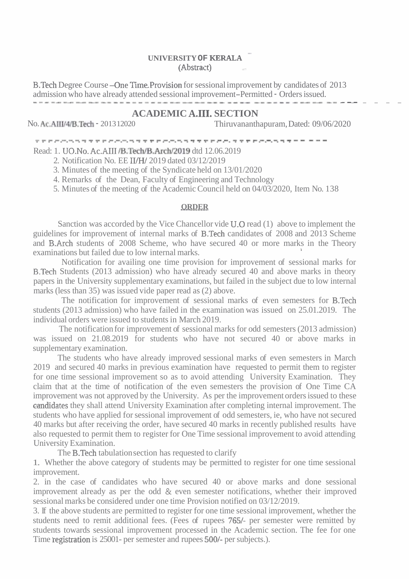## - **UNIVERSITY OF KERALA**  (Abstract)

B.Tech Degree Course –One Time Provision for sessional improvement by candidates of 2013 admission who have already attended sessional improvement–Permitted - Orders issued. --- ---- - ------ --- - - - - - - - . - - -

## **ACADEMIC A.III. SECTION**<br>No. Ac. AIII/4/B.Tech - 201312020 Thiruvananth

Thiruvananthapuram, Dated: 09/06/2020

........................................... ...........................................

Read: 1. UO.No. Ac.AIII /B.Tech/B.Arch/2019 dtd 12.06.2019

2. Notification No. EE IVH/ 2019 dated 03/12/2019

3. Minutes of the meeting of the Syndicate held on 13/01/2020

4. Remarks of the Dean, Faculty of Engineering and Technology

5. Minutes of the meeting of the Academic Council held on 04/03/2020, Item No. 138

## **ORDER**

Sanction was accorded by the Vice Chancellor vide U.0 read (1) above to implement the guidelines for improvement of internal marks of B.Tech candidates of 2008 and 2013 Scheme and B-Arch students of 2008 Scheme, who have secured 40 or more marks in the Theory examinations but failed due to low internal marks. **<sup>1</sup>**

Notification for availing one time provision for improvement of sessional marks for B.Tech Students (2013 admission) who have already secured 40 and above marks in theory papers in the University supplementary examinations, but failed in the subject due to low internal marks (less than 35) was issued vide paper read as (2) above.

The notification for improvement of sessional marks of even semesters for B.Tech students (2013 admission) who have failed in the examination was issued on 25.01.2019. The individual orders were issued to students in March 2019.

The notification for improvement of sessional marks for odd semesters (2013 admission) was issued on 21.08.2019 for students who have not secured 40 or above marks in supplementary examination.

The students who have already improved sessional marks of even semesters in March 2019 and secured 40 marks in previous examination have requested to permit them to register for one time sessional improvement so as to avoid attending University Examination. They claim that at the time of notification of the even semesters the provision of One Time CA improvement was not approved by the University. As per the improvement orders issued to these candidates they shall attend University Examination after completing internal improvement. The students who have applied for sessional improvement of odd semesters, ie, who have not secured 40 marks but after receiving the order, have secured 40 marks in recently published results have also requested to permit them to register for One Time sessional improvement to avoid attending University Examination.

The B.Tech tabulation section has requested to clarify

1. Whether the above category of students may be permitted to register for one time sessional improvement.

2. in the case of candidates who have secured 40 or above marks and done sessional improvement already as per the odd & even semester notifications, whether their improved sessional marks be considered under one time Provision notified on 03/12/2019.

3. If the above students are permitted to register for one time sessional improvement, whether the students need to remit additional fees. (Fees of rupees 7651- per semester were remitted by students towards sessional improvement processed in the Academic section. The fee for one Time registration is 25001- per semester and rupees 500/- per subjects.).